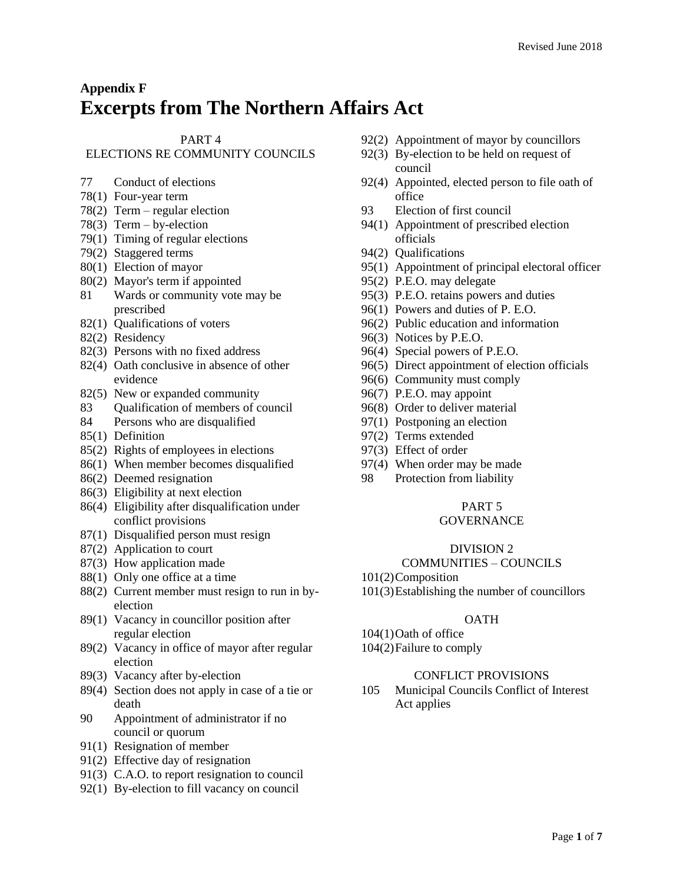# **Appendix F Excerpts from The Northern Affairs Act**

## PART 4

## ELECTIONS RE COMMUNITY COUNCILS

- [77](https://web2.gov.mb.ca/laws/statutes/ccsm/n100e.php#77) Conduct of elections
- [78\(1\)](https://web2.gov.mb.ca/laws/statutes/ccsm/n100e.php#78) Four-year term
- 7[8\(2\)](https://web2.gov.mb.ca/laws/statutes/ccsm/n100e.php#78(2)) Term regular election
- 7[8\(3\)](https://web2.gov.mb.ca/laws/statutes/ccsm/n100e.php#78(3)) Term by-election
- [79\(1\)](https://web2.gov.mb.ca/laws/statutes/ccsm/n100e.php#79) Timing of regular elections
- 7[9\(2\)](https://web2.gov.mb.ca/laws/statutes/ccsm/n100e.php#79(2)) Staggered terms
- [80\(1\)](https://web2.gov.mb.ca/laws/statutes/ccsm/n100e.php#80) Election of mayor
- 8[0\(2\)](https://web2.gov.mb.ca/laws/statutes/ccsm/n100e.php#80(2)) Mayor's term if appointed
- [81](https://web2.gov.mb.ca/laws/statutes/ccsm/n100e.php#81) Wards or community vote may be prescribed
- [82\(1\)](https://web2.gov.mb.ca/laws/statutes/ccsm/n100e.php#82) Qualifications of voters
- 8[2\(2\)](https://web2.gov.mb.ca/laws/statutes/ccsm/n100e.php#82(2)) Residency
- 8[2\(3\)](https://web2.gov.mb.ca/laws/statutes/ccsm/n100e.php#82(3)) Persons with no fixed address
- 8[2\(4\)](https://web2.gov.mb.ca/laws/statutes/ccsm/n100e.php#82(4)) Oath conclusive in absence of other evidence
- 8[2\(5\)](https://web2.gov.mb.ca/laws/statutes/ccsm/n100e.php#82(5)) New or expanded community
- [83](https://web2.gov.mb.ca/laws/statutes/ccsm/n100e.php#83) Qualification of members of council
- [84](https://web2.gov.mb.ca/laws/statutes/ccsm/n100e.php#84) Persons who are disqualified
- [85\(1\)](https://web2.gov.mb.ca/laws/statutes/ccsm/n100e.php#85) Definition
- 8[5\(2\)](https://web2.gov.mb.ca/laws/statutes/ccsm/n100e.php#85(2)) Rights of employees in elections
- [86\(1\)](https://web2.gov.mb.ca/laws/statutes/ccsm/n100e.php#86) When member becomes disqualified
- 8[6\(2\)](https://web2.gov.mb.ca/laws/statutes/ccsm/n100e.php#86(2)) Deemed resignation
- 8[6\(3\)](https://web2.gov.mb.ca/laws/statutes/ccsm/n100e.php#86(3)) Eligibility at next election
- 8[6\(4\)](https://web2.gov.mb.ca/laws/statutes/ccsm/n100e.php#86(4)) Eligibility after disqualification under conflict provisions
- [87\(1\)](https://web2.gov.mb.ca/laws/statutes/ccsm/n100e.php#87) Disqualified person must resign
- 8[7\(2\)](https://web2.gov.mb.ca/laws/statutes/ccsm/n100e.php#87(2)) Application to court
- 8[7\(3\)](https://web2.gov.mb.ca/laws/statutes/ccsm/n100e.php#87(3)) How application made
- [88\(1\)](https://web2.gov.mb.ca/laws/statutes/ccsm/n100e.php#88) Only one office at a time
- 8[8\(2\)](https://web2.gov.mb.ca/laws/statutes/ccsm/n100e.php#88(2)) Current member must resign to run in byelection
- [89\(1\)](https://web2.gov.mb.ca/laws/statutes/ccsm/n100e.php#89) Vacancy in councillor position after regular election
- 8[9\(2\)](https://web2.gov.mb.ca/laws/statutes/ccsm/n100e.php#89(2)) Vacancy in office of mayor after regular election
- 8[9\(3\)](https://web2.gov.mb.ca/laws/statutes/ccsm/n100e.php#89(3)) Vacancy after by-election
- 8[9\(4\)](https://web2.gov.mb.ca/laws/statutes/ccsm/n100e.php#89(4)) Section does not apply in case of a tie or death
- [90](https://web2.gov.mb.ca/laws/statutes/ccsm/n100e.php#90) Appointment of administrator if no council or quorum
- [91\(1\)](https://web2.gov.mb.ca/laws/statutes/ccsm/n100e.php#91) Resignation of member
- 9[1\(2\)](https://web2.gov.mb.ca/laws/statutes/ccsm/n100e.php#91(2)) Effective day of resignation
- 9[1\(3\)](https://web2.gov.mb.ca/laws/statutes/ccsm/n100e.php#91(3)) C.A.O. to report resignation to council
- [92\(1\)](https://web2.gov.mb.ca/laws/statutes/ccsm/n100e.php#92) By-election to fill vacancy on council
- 9[2\(2\)](https://web2.gov.mb.ca/laws/statutes/ccsm/n100e.php#92(2)) Appointment of mayor by councillors
- 9[2\(3\)](https://web2.gov.mb.ca/laws/statutes/ccsm/n100e.php#92(3)) By-election to be held on request of council
- 9[2\(4\)](https://web2.gov.mb.ca/laws/statutes/ccsm/n100e.php#92(4)) Appointed, elected person to file oath of office
- [93](https://web2.gov.mb.ca/laws/statutes/ccsm/n100e.php#93) Election of first council
- [94\(1\)](https://web2.gov.mb.ca/laws/statutes/ccsm/n100e.php#94) Appointment of prescribed election officials
- 9[4\(2\)](https://web2.gov.mb.ca/laws/statutes/ccsm/n100e.php#94(2)) Qualifications
- [95\(1\)](https://web2.gov.mb.ca/laws/statutes/ccsm/n100e.php#95) Appointment of principal electoral officer
- 9[5\(2\)](https://web2.gov.mb.ca/laws/statutes/ccsm/n100e.php#95(2)) P.E.O. may delegate
- 9[5\(3\)](https://web2.gov.mb.ca/laws/statutes/ccsm/n100e.php#95(3)) P.E.O. retains powers and duties
- [96\(1\)](https://web2.gov.mb.ca/laws/statutes/ccsm/n100e.php#96) Powers and duties of P. E.O.
- 9[6\(2\)](https://web2.gov.mb.ca/laws/statutes/ccsm/n100e.php#96(2)) Public education and information
- 9[6\(3\)](https://web2.gov.mb.ca/laws/statutes/ccsm/n100e.php#96(3)) Notices by P.E.O.
- 9[6\(4\)](https://web2.gov.mb.ca/laws/statutes/ccsm/n100e.php#96(4)) Special powers of P.E.O.
- 9[6\(5\)](https://web2.gov.mb.ca/laws/statutes/ccsm/n100e.php#96(5)) Direct appointment of election officials
- 9[6\(6\)](https://web2.gov.mb.ca/laws/statutes/ccsm/n100e.php#96(6)) Community must comply
- 9[6\(7\)](https://web2.gov.mb.ca/laws/statutes/ccsm/n100e.php#96(7)) P.E.O. may appoint
- 9[6\(8\)](https://web2.gov.mb.ca/laws/statutes/ccsm/n100e.php#96(8)) Order to deliver material
- [97\(1\)](https://web2.gov.mb.ca/laws/statutes/ccsm/n100e.php#97) Postponing an election
- 9[7\(2\)](https://web2.gov.mb.ca/laws/statutes/ccsm/n100e.php#97(2)) Terms extended
- 9[7\(3\)](https://web2.gov.mb.ca/laws/statutes/ccsm/n100e.php#97(3)) Effect of order
- 9[7\(4\)](https://web2.gov.mb.ca/laws/statutes/ccsm/n100e.php#97(4)) When order may be made
- [98](https://web2.gov.mb.ca/laws/statutes/ccsm/n100e.php#98) Protection from liability

## PART 5

## **GOVERNANCE**

#### DIVISION 2

#### COMMUNITIES – COUNCILS

- 101(2)Composition
- 101(3)Establishing the number of councillors

#### **OATH**

104(1)Oath of office 104(2)Failure to comply

#### CONFLICT PROVISIONS

105 Municipal Councils Conflict of Interest Act applies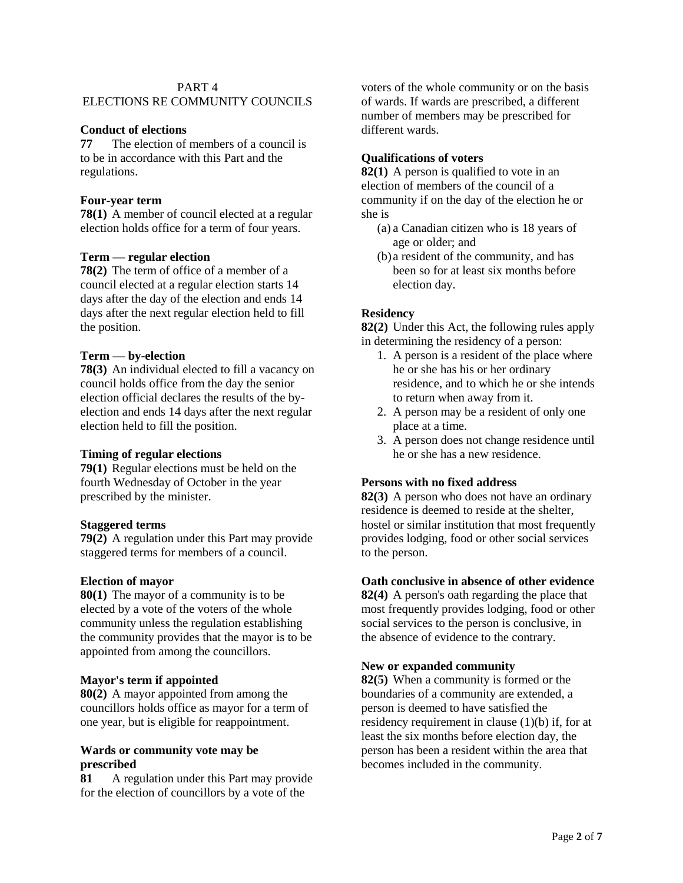#### PART 4

# ELECTIONS RE COMMUNITY COUNCILS

## **Conduct of elections**

**[77](https://web2.gov.mb.ca/laws/statutes/ccsm/n100f.php#77)** The election of members of a council is to be in accordance with this Part and the regulations.

#### **Four-year term**

**[78\(1\)](https://web2.gov.mb.ca/laws/statutes/ccsm/n100f.php#78)** A member of council elected at a regular election holds office for a term of four years.

#### **Term — regular election**

**[78\(2\)](https://web2.gov.mb.ca/laws/statutes/ccsm/n100f.php#78(2))** The term of office of a member of a council elected at a regular election starts 14 days after the day of the election and ends 14 days after the next regular election held to fill the position.

#### **Term — by-election**

**[78\(3\)](https://web2.gov.mb.ca/laws/statutes/ccsm/n100f.php#78(3))** An individual elected to fill a vacancy on council holds office from the day the senior election official declares the results of the byelection and ends 14 days after the next regular election held to fill the position.

#### **Timing of regular elections**

**[79\(1\)](https://web2.gov.mb.ca/laws/statutes/ccsm/n100f.php#79)** Regular elections must be held on the fourth Wednesday of October in the year prescribed by the minister.

## **Staggered terms**

**[79\(2\)](https://web2.gov.mb.ca/laws/statutes/ccsm/n100f.php#79(2))** A regulation under this Part may provide staggered terms for members of a council.

#### **Election of mayor**

**[80\(1\)](https://web2.gov.mb.ca/laws/statutes/ccsm/n100f.php#80)** The mayor of a community is to be elected by a vote of the voters of the whole community unless the regulation establishing the community provides that the mayor is to be appointed from among the councillors.

#### **Mayor's term if appointed**

**[80\(2\)](https://web2.gov.mb.ca/laws/statutes/ccsm/n100f.php#80(2))** A mayor appointed from among the councillors holds office as mayor for a term of one year, but is eligible for reappointment.

#### **Wards or community vote may be prescribed**

**[81](https://web2.gov.mb.ca/laws/statutes/ccsm/n100f.php#81)** A regulation under this Part may provide for the election of councillors by a vote of the

voters of the whole community or on the basis of wards. If wards are prescribed, a different number of members may be prescribed for different wards.

#### **Qualifications of voters**

**[82\(1\)](https://web2.gov.mb.ca/laws/statutes/ccsm/n100f.php#82)** A person is qualified to vote in an election of members of the council of a community if on the day of the election he or she is

- (a) a Canadian citizen who is 18 years of age or older; and
- (b) a resident of the community, and has been so for at least six months before election day.

## **Residency**

**[82\(2\)](https://web2.gov.mb.ca/laws/statutes/ccsm/n100f.php#82(2))** Under this Act, the following rules apply in determining the residency of a person:

- 1. A person is a resident of the place where he or she has his or her ordinary residence, and to which he or she intends to return when away from it.
- 2. A person may be a resident of only one place at a time.
- 3. A person does not change residence until he or she has a new residence.

## **Persons with no fixed address**

**[82\(3\)](https://web2.gov.mb.ca/laws/statutes/ccsm/n100f.php#82(3))** A person who does not have an ordinary residence is deemed to reside at the shelter, hostel or similar institution that most frequently provides lodging, food or other social services to the person.

#### **Oath conclusive in absence of other evidence**

**[82\(4\)](https://web2.gov.mb.ca/laws/statutes/ccsm/n100f.php#82(4))** A person's oath regarding the place that most frequently provides lodging, food or other social services to the person is conclusive, in the absence of evidence to the contrary.

#### **New or expanded community**

**[82\(5\)](https://web2.gov.mb.ca/laws/statutes/ccsm/n100f.php#82(5))** When a community is formed or the boundaries of a community are extended, a person is deemed to have satisfied the residency requirement in clause (1)(b) if, for at least the six months before election day, the person has been a resident within the area that becomes included in the community.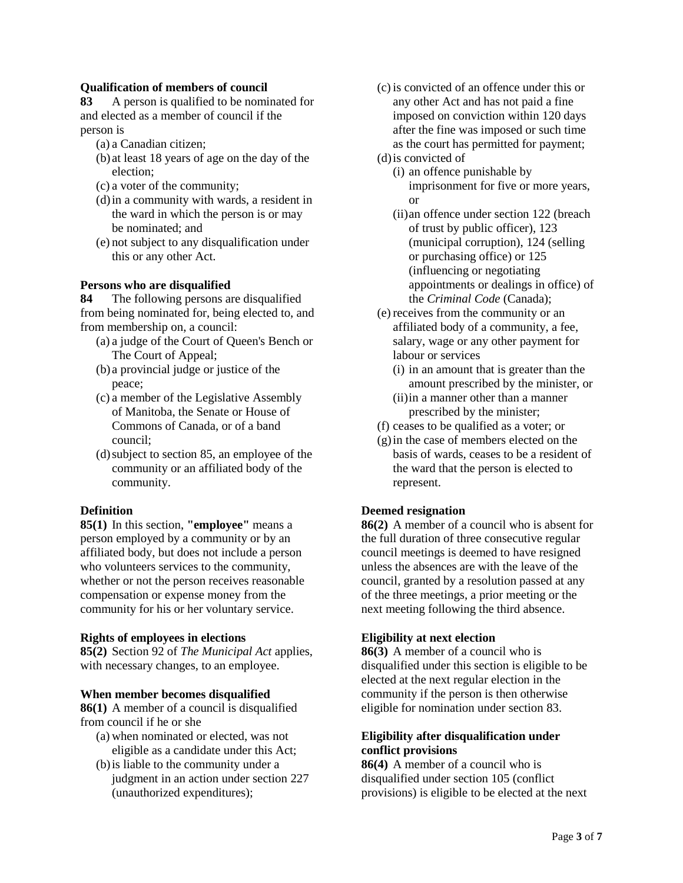## **Qualification of members of council**

**[83](https://web2.gov.mb.ca/laws/statutes/ccsm/n100f.php#83)** A person is qualified to be nominated for and elected as a member of council if the person is

- (a) a Canadian citizen;
- (b) at least 18 years of age on the day of the election;
- (c) a voter of the community;
- (d)in a community with wards, a resident in the ward in which the person is or may be nominated; and
- (e) not subject to any disqualification under this or any other Act.

#### **Persons who are disqualified**

**[84](https://web2.gov.mb.ca/laws/statutes/ccsm/n100f.php#84)** The following persons are disqualified from being nominated for, being elected to, and from membership on, a council:

- (a) a judge of the Court of Queen's Bench or The Court of Appeal;
- (b) a provincial judge or justice of the peace;
- (c) a member of the Legislative Assembly of Manitoba, the Senate or House of Commons of Canada, or of a band council;
- (d)subject to section 85, an employee of the community or an affiliated body of the community.

#### **Definition**

**[85\(1\)](https://web2.gov.mb.ca/laws/statutes/ccsm/n100f.php#85)** In this section, **"employee"** means a person employed by a community or by an affiliated body, but does not include a person who volunteers services to the community, whether or not the person receives reasonable compensation or expense money from the community for his or her voluntary service.

#### **Rights of employees in elections**

**[85\(2\)](https://web2.gov.mb.ca/laws/statutes/ccsm/n100f.php#85(2))** Section 92 of *The Municipal Act* applies, with necessary changes, to an employee.

#### **When member becomes disqualified**

**[86\(1\)](https://web2.gov.mb.ca/laws/statutes/ccsm/n100f.php#86)** A member of a council is disqualified from council if he or she

- (a) when nominated or elected, was not eligible as a candidate under this Act;
- (b)is liable to the community under a judgment in an action under section 227 (unauthorized expenditures);
- (c) is convicted of an offence under this or any other Act and has not paid a fine imposed on conviction within 120 days after the fine was imposed or such time as the court has permitted for payment;
- (d)is convicted of
	- (i) an offence punishable by imprisonment for five or more years, or
	- (ii)an offence under section 122 (breach of trust by public officer), 123 (municipal corruption), 124 (selling or purchasing office) or 125 (influencing or negotiating appointments or dealings in office) of the *Criminal Code* (Canada);
- (e) receives from the community or an affiliated body of a community, a fee, salary, wage or any other payment for labour or services
	- (i) in an amount that is greater than the amount prescribed by the minister, or (ii)in a manner other than a manner
	- prescribed by the minister;
- (f) ceases to be qualified as a voter; or
- (g)in the case of members elected on the basis of wards, ceases to be a resident of the ward that the person is elected to represent.

## **Deemed resignation**

**[86\(2\)](https://web2.gov.mb.ca/laws/statutes/ccsm/n100f.php#86(2))** A member of a council who is absent for the full duration of three consecutive regular council meetings is deemed to have resigned unless the absences are with the leave of the council, granted by a resolution passed at any of the three meetings, a prior meeting or the next meeting following the third absence.

## **Eligibility at next election**

**[86\(3\)](https://web2.gov.mb.ca/laws/statutes/ccsm/n100f.php#86(3))** A member of a council who is disqualified under this section is eligible to be elected at the next regular election in the community if the person is then otherwise eligible for nomination under section 83.

## **Eligibility after disqualification under conflict provisions**

**[86\(4\)](https://web2.gov.mb.ca/laws/statutes/ccsm/n100f.php#86(4))** A member of a council who is disqualified under section 105 (conflict provisions) is eligible to be elected at the next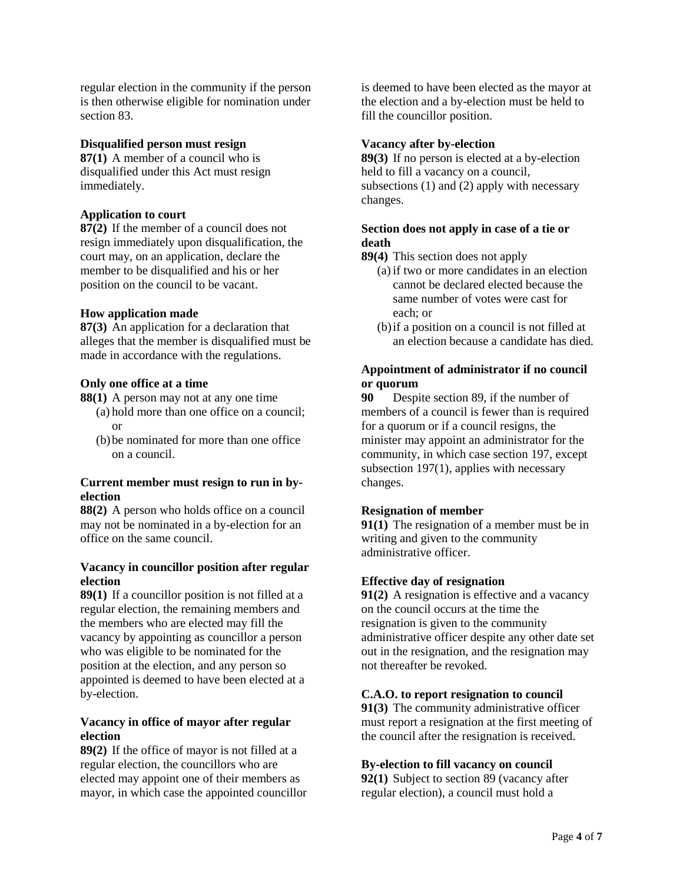regular election in the community if the person is then otherwise eligible for nomination under section 83.

#### **Disqualified person must resign**

**[87\(1\)](https://web2.gov.mb.ca/laws/statutes/ccsm/n100f.php#87)** A member of a council who is disqualified under this Act must resign immediately.

#### **Application to court**

**[87\(2\)](https://web2.gov.mb.ca/laws/statutes/ccsm/n100f.php#87(2))** If the member of a council does not resign immediately upon disqualification, the court may, on an application, declare the member to be disqualified and his or her position on the council to be vacant.

## **How application made**

**[87\(3\)](https://web2.gov.mb.ca/laws/statutes/ccsm/n100f.php#87(3))** An application for a declaration that alleges that the member is disqualified must be made in accordance with the regulations.

#### **Only one office at a time**

- **[88\(1\)](https://web2.gov.mb.ca/laws/statutes/ccsm/n100f.php#88)** A person may not at any one time
	- (a) hold more than one office on a council; or
	- (b)be nominated for more than one office on a council.

#### **Current member must resign to run in byelection**

**[88\(2\)](https://web2.gov.mb.ca/laws/statutes/ccsm/n100f.php#88(2))** A person who holds office on a council may not be nominated in a by-election for an office on the same council.

## **Vacancy in councillor position after regular election**

**[89\(1\)](https://web2.gov.mb.ca/laws/statutes/ccsm/n100f.php#89)** If a councillor position is not filled at a regular election, the remaining members and the members who are elected may fill the vacancy by appointing as councillor a person who was eligible to be nominated for the position at the election, and any person so appointed is deemed to have been elected at a by-election.

## **Vacancy in office of mayor after regular election**

**[89\(2\)](https://web2.gov.mb.ca/laws/statutes/ccsm/n100f.php#89(2))** If the office of mayor is not filled at a regular election, the councillors who are elected may appoint one of their members as mayor, in which case the appointed councillor is deemed to have been elected as the mayor at the election and a by-election must be held to fill the councillor position.

#### **Vacancy after by-election**

**[89\(3\)](https://web2.gov.mb.ca/laws/statutes/ccsm/n100f.php#89(3))** If no person is elected at a by-election held to fill a vacancy on a council, subsections (1) and (2) apply with necessary changes.

## **Section does not apply in case of a tie or death**

- **[89\(4\)](https://web2.gov.mb.ca/laws/statutes/ccsm/n100f.php#89(4))** This section does not apply
	- (a) if two or more candidates in an election cannot be declared elected because the same number of votes were cast for each; or
	- (b)if a position on a council is not filled at an election because a candidate has died.

## **Appointment of administrator if no council or quorum**

**[90](https://web2.gov.mb.ca/laws/statutes/ccsm/n100f.php#90)** Despite section 89, if the number of members of a council is fewer than is required for a quorum or if a council resigns, the minister may appoint an administrator for the community, in which case section 197, except subsection 197(1), applies with necessary changes.

## **Resignation of member**

**[91\(1\)](https://web2.gov.mb.ca/laws/statutes/ccsm/n100f.php#91)** The resignation of a member must be in writing and given to the community administrative officer.

## **Effective day of resignation**

**[91\(2\)](https://web2.gov.mb.ca/laws/statutes/ccsm/n100f.php#91(2))** A resignation is effective and a vacancy on the council occurs at the time the resignation is given to the community administrative officer despite any other date set out in the resignation, and the resignation may not thereafter be revoked.

#### **C.A.O. to report resignation to council**

**[91\(3\)](https://web2.gov.mb.ca/laws/statutes/ccsm/n100f.php#91(3))** The community administrative officer must report a resignation at the first meeting of the council after the resignation is received.

## **By-election to fill vacancy on council**

**[92\(1\)](https://web2.gov.mb.ca/laws/statutes/ccsm/n100f.php#92)** Subject to section 89 (vacancy after regular election), a council must hold a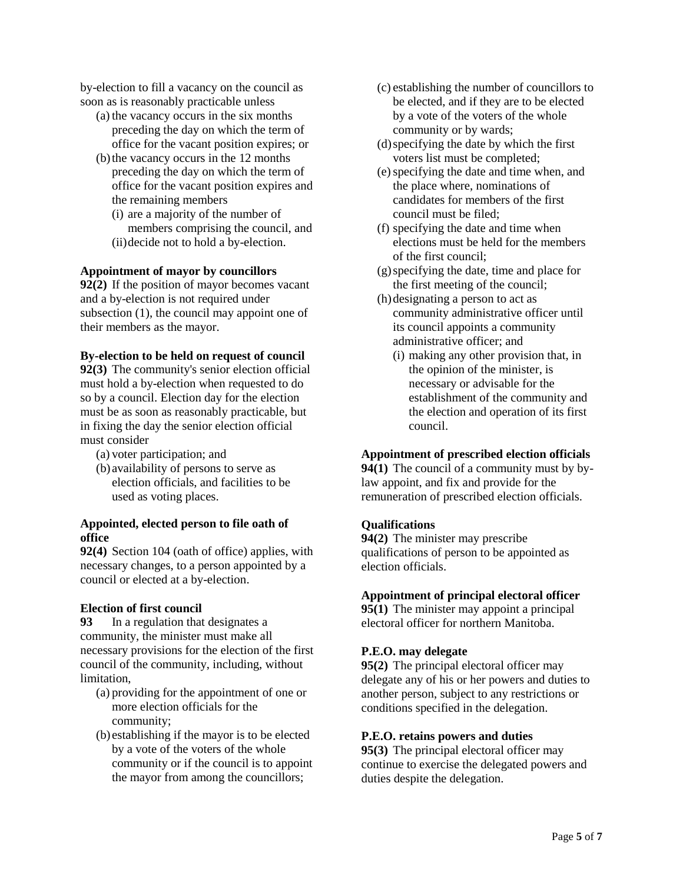by-election to fill a vacancy on the council as soon as is reasonably practicable unless

- (a) the vacancy occurs in the six months preceding the day on which the term of office for the vacant position expires; or
- (b)the vacancy occurs in the 12 months preceding the day on which the term of office for the vacant position expires and the remaining members
	- (i) are a majority of the number of members comprising the council, and (ii)decide not to hold a by-election.

#### **Appointment of mayor by councillors**

**[92\(2\)](https://web2.gov.mb.ca/laws/statutes/ccsm/n100f.php#92(2))** If the position of mayor becomes vacant and a by-election is not required under subsection (1), the council may appoint one of their members as the mayor.

## **By-election to be held on request of council**

**[92\(3\)](https://web2.gov.mb.ca/laws/statutes/ccsm/n100f.php#92(3))** The community's senior election official must hold a by-election when requested to do so by a council. Election day for the election must be as soon as reasonably practicable, but in fixing the day the senior election official must consider

- (a) voter participation; and
- (b) availability of persons to serve as election officials, and facilities to be used as voting places.

#### **Appointed, elected person to file oath of office**

**[92\(4\)](https://web2.gov.mb.ca/laws/statutes/ccsm/n100f.php#92(4))** Section 104 (oath of office) applies, with necessary changes, to a person appointed by a council or elected at a by-election.

## **Election of first council**

**[93](https://web2.gov.mb.ca/laws/statutes/ccsm/n100f.php#93)** In a regulation that designates a community, the minister must make all necessary provisions for the election of the first council of the community, including, without limitation,

- (a) providing for the appointment of one or more election officials for the community;
- (b) establishing if the mayor is to be elected by a vote of the voters of the whole community or if the council is to appoint the mayor from among the councillors;
- (c) establishing the number of councillors to be elected, and if they are to be elected by a vote of the voters of the whole community or by wards;
- (d)specifying the date by which the first voters list must be completed;
- (e)specifying the date and time when, and the place where, nominations of candidates for members of the first council must be filed;
- (f) specifying the date and time when elections must be held for the members of the first council;
- (g)specifying the date, time and place for the first meeting of the council;
- (h)designating a person to act as community administrative officer until its council appoints a community administrative officer; and
	- (i) making any other provision that, in the opinion of the minister, is necessary or advisable for the establishment of the community and the election and operation of its first council.

## **Appointment of prescribed election officials**

**[94\(1\)](https://web2.gov.mb.ca/laws/statutes/ccsm/n100f.php#94)** The council of a community must by bylaw appoint, and fix and provide for the remuneration of prescribed election officials.

## **Qualifications**

**[94\(2\)](https://web2.gov.mb.ca/laws/statutes/ccsm/n100f.php#94(2))** The minister may prescribe qualifications of person to be appointed as election officials.

## **Appointment of principal electoral officer**

**[95\(1\)](https://web2.gov.mb.ca/laws/statutes/ccsm/n100f.php#95)** The minister may appoint a principal electoral officer for northern Manitoba.

## **P.E.O. may delegate**

**[95\(2\)](https://web2.gov.mb.ca/laws/statutes/ccsm/n100f.php#95(2))** The principal electoral officer may delegate any of his or her powers and duties to another person, subject to any restrictions or conditions specified in the delegation.

#### **P.E.O. retains powers and duties**

**[95\(3\)](https://web2.gov.mb.ca/laws/statutes/ccsm/n100f.php#95(3))** The principal electoral officer may continue to exercise the delegated powers and duties despite the delegation.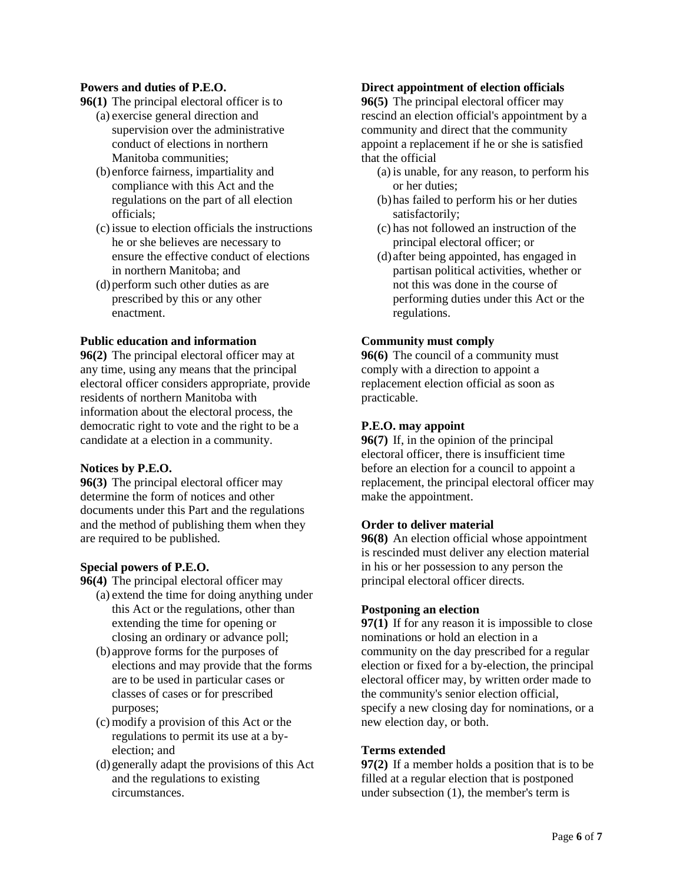## **Powers and duties of P.E.O.**

- **[96\(1\)](https://web2.gov.mb.ca/laws/statutes/ccsm/n100f.php#96)** The principal electoral officer is to
	- (a) exercise general direction and supervision over the administrative conduct of elections in northern Manitoba communities;
	- (b) enforce fairness, impartiality and compliance with this Act and the regulations on the part of all election officials;
	- (c) issue to election officials the instructions he or she believes are necessary to ensure the effective conduct of elections in northern Manitoba; and
	- (d)perform such other duties as are prescribed by this or any other enactment.

## **Public education and information**

**[96\(2\)](https://web2.gov.mb.ca/laws/statutes/ccsm/n100f.php#96(2))** The principal electoral officer may at any time, using any means that the principal electoral officer considers appropriate, provide residents of northern Manitoba with information about the electoral process, the democratic right to vote and the right to be a candidate at a election in a community.

## **Notices by P.E.O.**

**[96\(3\)](https://web2.gov.mb.ca/laws/statutes/ccsm/n100f.php#96(3))** The principal electoral officer may determine the form of notices and other documents under this Part and the regulations and the method of publishing them when they are required to be published.

## **Special powers of P.E.O.**

- **[96\(4\)](https://web2.gov.mb.ca/laws/statutes/ccsm/n100f.php#96(4))** The principal electoral officer may
	- (a) extend the time for doing anything under this Act or the regulations, other than extending the time for opening or closing an ordinary or advance poll;
	- (b) approve forms for the purposes of elections and may provide that the forms are to be used in particular cases or classes of cases or for prescribed purposes;
	- (c) modify a provision of this Act or the regulations to permit its use at a byelection; and
	- (d)generally adapt the provisions of this Act and the regulations to existing circumstances.

## **Direct appointment of election officials**

**[96\(5\)](https://web2.gov.mb.ca/laws/statutes/ccsm/n100f.php#96(5))** The principal electoral officer may rescind an election official's appointment by a community and direct that the community appoint a replacement if he or she is satisfied that the official

- (a) is unable, for any reason, to perform his or her duties;
- (b)has failed to perform his or her duties satisfactorily;
- (c) has not followed an instruction of the principal electoral officer; or
- (d) after being appointed, has engaged in partisan political activities, whether or not this was done in the course of performing duties under this Act or the regulations.

## **Community must comply**

**[96\(6\)](https://web2.gov.mb.ca/laws/statutes/ccsm/n100f.php#96(6))** The council of a community must comply with a direction to appoint a replacement election official as soon as practicable.

## **P.E.O. may appoint**

**[96\(7\)](https://web2.gov.mb.ca/laws/statutes/ccsm/n100f.php#96(7))** If, in the opinion of the principal electoral officer, there is insufficient time before an election for a council to appoint a replacement, the principal electoral officer may make the appointment.

## **Order to deliver material**

**[96\(8\)](https://web2.gov.mb.ca/laws/statutes/ccsm/n100f.php#96(8))** An election official whose appointment is rescinded must deliver any election material in his or her possession to any person the principal electoral officer directs.

## **Postponing an election**

**[97\(1\)](https://web2.gov.mb.ca/laws/statutes/ccsm/n100f.php#97)** If for any reason it is impossible to close nominations or hold an election in a community on the day prescribed for a regular election or fixed for a by-election, the principal electoral officer may, by written order made to the community's senior election official, specify a new closing day for nominations, or a new election day, or both.

## **Terms extended**

**[97\(2\)](https://web2.gov.mb.ca/laws/statutes/ccsm/n100f.php#97(2))** If a member holds a position that is to be filled at a regular election that is postponed under subsection (1), the member's term is